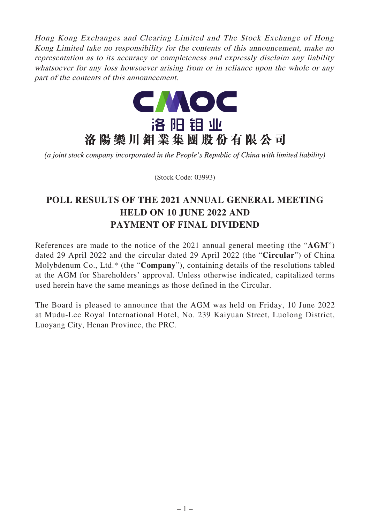Hong Kong Exchanges and Clearing Limited and The Stock Exchange of Hong Kong Limited take no responsibility for the contents of this announcement, make no representation as to its accuracy or completeness and expressly disclaim any liability whatsoever for any loss howsoever arising from or in reliance upon the whole or any part of the contents of this announcement.



(a joint stock company incorporated in the People's Republic of China with limited liability)

(Stock Code: 03993)

# **POLL RESULTS OF THE 2021 ANNUAL GENERAL MEETING HELD ON 10 JUNE 2022 AND PAYMENT OF FINAL DIVIDEND**

References are made to the notice of the 2021 annual general meeting (the "**AGM**") dated 29 April 2022 and the circular dated 29 April 2022 (the "**Circular**") of China Molybdenum Co., Ltd.\* (the "**Company**"), containing details of the resolutions tabled at the AGM for Shareholders' approval. Unless otherwise indicated, capitalized terms used herein have the same meanings as those defined in the Circular.

The Board is pleased to announce that the AGM was held on Friday, 10 June 2022 at Mudu-Lee Royal International Hotel, No. 239 Kaiyuan Street, Luolong District, Luoyang City, Henan Province, the PRC.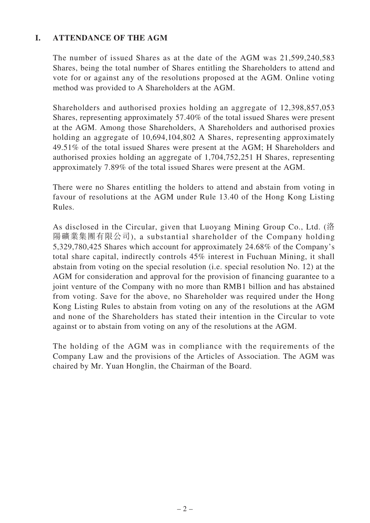## **I. ATTENDANCE OF THE AGM**

The number of issued Shares as at the date of the AGM was 21,599,240,583 Shares, being the total number of Shares entitling the Shareholders to attend and vote for or against any of the resolutions proposed at the AGM. Online voting method was provided to A Shareholders at the AGM.

Shareholders and authorised proxies holding an aggregate of 12,398,857,053 Shares, representing approximately 57.40% of the total issued Shares were present at the AGM. Among those Shareholders, A Shareholders and authorised proxies holding an aggregate of 10,694,104,802 A Shares, representing approximately 49.51% of the total issued Shares were present at the AGM; H Shareholders and authorised proxies holding an aggregate of 1,704,752,251 H Shares, representing approximately 7.89% of the total issued Shares were present at the AGM.

There were no Shares entitling the holders to attend and abstain from voting in favour of resolutions at the AGM under Rule 13.40 of the Hong Kong Listing Rules.

As disclosed in the Circular, given that Luoyang Mining Group Co., Ltd. (洛 陽礦業集團有限公司), a substantial shareholder of the Company holding 5,329,780,425 Shares which account for approximately 24.68% of the Company's total share capital, indirectly controls 45% interest in Fuchuan Mining, it shall abstain from voting on the special resolution (i.e. special resolution No. 12) at the AGM for consideration and approval for the provision of financing guarantee to a joint venture of the Company with no more than RMB1 billion and has abstained from voting. Save for the above, no Shareholder was required under the Hong Kong Listing Rules to abstain from voting on any of the resolutions at the AGM and none of the Shareholders has stated their intention in the Circular to vote against or to abstain from voting on any of the resolutions at the AGM.

The holding of the AGM was in compliance with the requirements of the Company Law and the provisions of the Articles of Association. The AGM was chaired by Mr. Yuan Honglin, the Chairman of the Board.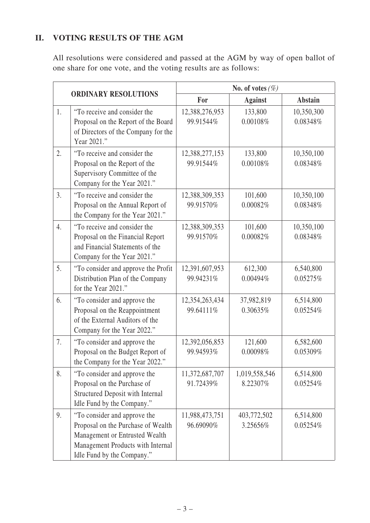## **II. VOTING RESULTS OF THE AGM**

All resolutions were considered and passed at the AGM by way of open ballot of one share for one vote, and the voting results are as follows:

|    |                                                                                                                                                                         | No. of votes $(\%)$         |                           |                        |
|----|-------------------------------------------------------------------------------------------------------------------------------------------------------------------------|-----------------------------|---------------------------|------------------------|
|    | <b>ORDINARY RESOLUTIONS</b>                                                                                                                                             | For                         | <b>Against</b>            | <b>Abstain</b>         |
| 1. | "To receive and consider the<br>Proposal on the Report of the Board<br>of Directors of the Company for the<br>Year 2021."                                               | 12,388,276,953<br>99.91544% | 133,800<br>0.00108%       | 10,350,300<br>0.08348% |
| 2. | "To receive and consider the<br>Proposal on the Report of the<br>Supervisory Committee of the<br>Company for the Year 2021."                                            | 12,388,277,153<br>99.91544% | 133,800<br>0.00108%       | 10,350,100<br>0.08348% |
| 3. | "To receive and consider the<br>Proposal on the Annual Report of<br>the Company for the Year 2021."                                                                     | 12,388,309,353<br>99.91570% | 101,600<br>0.00082%       | 10,350,100<br>0.08348% |
| 4. | "To receive and consider the<br>Proposal on the Financial Report<br>and Financial Statements of the<br>Company for the Year 2021."                                      | 12,388,309,353<br>99.91570% | 101,600<br>0.00082%       | 10,350,100<br>0.08348% |
| 5. | "To consider and approve the Profit<br>Distribution Plan of the Company<br>for the Year 2021."                                                                          | 12,391,607,953<br>99.94231% | 612,300<br>0.00494%       | 6,540,800<br>0.05275%  |
| 6. | "To consider and approve the<br>Proposal on the Reappointment<br>of the External Auditors of the<br>Company for the Year 2022."                                         | 12,354,263,434<br>99.64111% | 37,982,819<br>0.30635%    | 6,514,800<br>0.05254%  |
| 7. | "To consider and approve the<br>Proposal on the Budget Report of<br>the Company for the Year 2022."                                                                     | 12,392,056,853<br>99.94593% | 121,600<br>0.00098%       | 6,582,600<br>0.05309%  |
| 8. | "To consider and approve the<br>Proposal on the Purchase of<br><b>Structured Deposit with Internal</b><br>Idle Fund by the Company."                                    | 11,372,687,707<br>91.72439% | 1,019,558,546<br>8.22307% | 6,514,800<br>0.05254%  |
| 9. | "To consider and approve the<br>Proposal on the Purchase of Wealth<br>Management or Entrusted Wealth<br>Management Products with Internal<br>Idle Fund by the Company." | 11,988,473,751<br>96.69090% | 403,772,502<br>3.25656%   | 6,514,800<br>0.05254%  |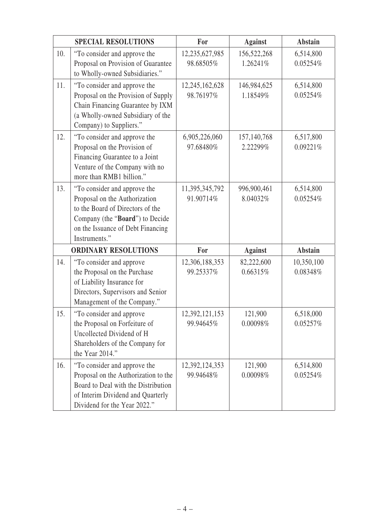|     | <b>SPECIAL RESOLUTIONS</b>                                                                                                                                                                 | For                         | <b>Against</b>          | <b>Abstain</b>         |
|-----|--------------------------------------------------------------------------------------------------------------------------------------------------------------------------------------------|-----------------------------|-------------------------|------------------------|
| 10. | "To consider and approve the<br>Proposal on Provision of Guarantee<br>to Wholly-owned Subsidiaries."                                                                                       | 12,235,627,985<br>98.68505% | 156,522,268<br>1.26241% | 6,514,800<br>0.05254%  |
| 11. | "To consider and approve the<br>Proposal on the Provision of Supply<br>Chain Financing Guarantee by IXM<br>(a Wholly-owned Subsidiary of the<br>Company) to Suppliers."                    | 12,245,162,628<br>98.76197% | 146,984,625<br>1.18549% | 6,514,800<br>0.05254%  |
| 12. | "To consider and approve the<br>Proposal on the Provision of<br>Financing Guarantee to a Joint<br>Venture of the Company with no<br>more than RMB1 billion."                               | 6,905,226,060<br>97.68480%  | 157,140,768<br>2.22299% | 6,517,800<br>0.09221%  |
| 13. | "To consider and approve the<br>Proposal on the Authorization<br>to the Board of Directors of the<br>Company (the "Board") to Decide<br>on the Issuance of Debt Financing<br>Instruments." | 11,395,345,792<br>91.90714% | 996,900,461<br>8.04032% | 6,514,800<br>0.05254%  |
|     | <b>ORDINARY RESOLUTIONS</b>                                                                                                                                                                | For                         | <b>Against</b>          | <b>Abstain</b>         |
| 14. | "To consider and approve<br>the Proposal on the Purchase<br>of Liability Insurance for<br>Directors, Supervisors and Senior<br>Management of the Company."                                 | 12,306,188,353<br>99.25337% | 82,222,600<br>0.66315%  | 10,350,100<br>0.08348% |
| 15. | "To consider and approve<br>the Proposal on Forfeiture of<br>Uncollected Dividend of H<br>Shareholders of the Company for<br>the Year 2014."                                               | 12,392,121,153<br>99.94645% | 121,900<br>0.00098%     | 6,518,000<br>0.05257%  |
| 16. | "To consider and approve the<br>Proposal on the Authorization to the<br>Board to Deal with the Distribution<br>of Interim Dividend and Quarterly<br>Dividend for the Year 2022."           | 12,392,124,353<br>99.94648% | 121,900<br>0.00098%     | 6,514,800<br>0.05254%  |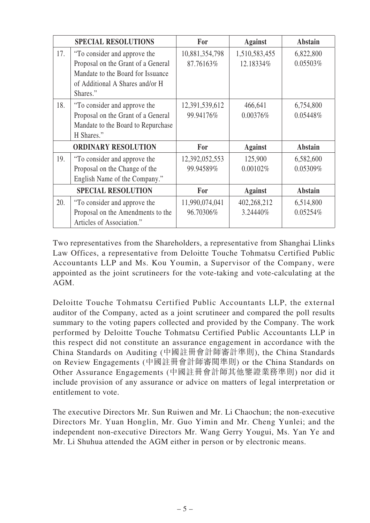|                            | <b>SPECIAL RESOLUTIONS</b>                                                                                                                             | For                         | <b>Against</b>             | <b>Abstain</b>        |
|----------------------------|--------------------------------------------------------------------------------------------------------------------------------------------------------|-----------------------------|----------------------------|-----------------------|
| 17.                        | "To consider and approve the<br>Proposal on the Grant of a General<br>Mandate to the Board for Issuance<br>of Additional A Shares and/or H<br>Shares." | 10,881,354,798<br>87.76163% | 1,510,583,455<br>12.18334% | 6,822,800<br>0.05503% |
| 18.                        | "To consider and approve the<br>Proposal on the Grant of a General<br>Mandate to the Board to Repurchase<br>H Shares."                                 | 12,391,539,612<br>99.94176% | 466,641<br>0.00376%        | 6,754,800<br>0.05448% |
| <b>ORDINARY RESOLUTION</b> |                                                                                                                                                        | For                         | <b>Against</b>             | <b>Abstain</b>        |
| 19.                        | "To consider and approve the<br>Proposal on the Change of the<br>English Name of the Company."                                                         | 12,392,052,553<br>99.94589% | 125,900<br>0.00102%        | 6,582,600<br>0.05309% |
| <b>SPECIAL RESOLUTION</b>  |                                                                                                                                                        | For                         | <b>Against</b>             | <b>Abstain</b>        |
| 20.                        | "To consider and approve the<br>Proposal on the Amendments to the<br>Articles of Association."                                                         | 11,990,074,041<br>96.70306% | 402,268,212<br>3.24440%    | 6,514,800<br>0.05254% |

Two representatives from the Shareholders, a representative from Shanghai Llinks Law Offices, a representative from Deloitte Touche Tohmatsu Certified Public Accountants LLP and Ms. Kou Youmin, a Supervisor of the Company, were appointed as the joint scrutineers for the vote-taking and vote-calculating at the AGM.

Deloitte Touche Tohmatsu Certified Public Accountants LLP, the external auditor of the Company, acted as a joint scrutineer and compared the poll results summary to the voting papers collected and provided by the Company. The work performed by Deloitte Touche Tohmatsu Certified Public Accountants LLP in this respect did not constitute an assurance engagement in accordance with the China Standards on Auditing (中國註冊會計師審計準則), the China Standards on Review Engagements (中國註冊會計師審閱準則) or the China Standards on Other Assurance Engagements (中國註冊會計師其他鑒證業務準則) nor did it include provision of any assurance or advice on matters of legal interpretation or entitlement to vote.

The executive Directors Mr. Sun Ruiwen and Mr. Li Chaochun; the non-executive Directors Mr. Yuan Honglin, Mr. Guo Yimin and Mr. Cheng Yunlei; and the independent non-executive Directors Mr. Wang Gerry Yougui, Ms. Yan Ye and Mr. Li Shuhua attended the AGM either in person or by electronic means.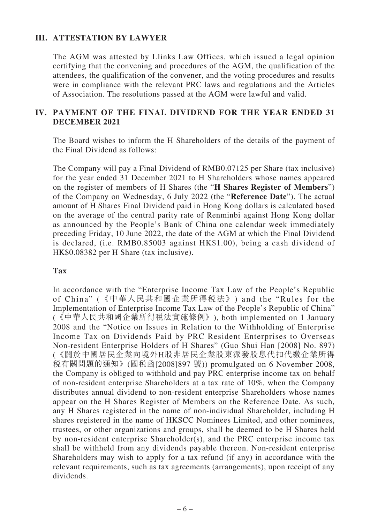### **III. ATTESTATION BY LAWYER**

The AGM was attested by Llinks Law Offices, which issued a legal opinion certifying that the convening and procedures of the AGM, the qualification of the attendees, the qualification of the convener, and the voting procedures and results were in compliance with the relevant PRC laws and regulations and the Articles of Association. The resolutions passed at the AGM were lawful and valid.

### **IV. PAYMENT OF THE FINAL DIVIDEND FOR THE YEAR ENDED 31 DECEMBER 2021**

The Board wishes to inform the H Shareholders of the details of the payment of the Final Dividend as follows:

The Company will pay a Final Dividend of RMB0.07125 per Share (tax inclusive) for the year ended 31 December 2021 to H Shareholders whose names appeared on the register of members of H Shares (the "**H Shares Register of Members**") of the Company on Wednesday, 6 July 2022 (the "**Reference Date**"). The actual amount of H Shares Final Dividend paid in Hong Kong dollars is calculated based on the average of the central parity rate of Renminbi against Hong Kong dollar as announced by the People's Bank of China one calendar week immediately preceding Friday, 10 June 2022, the date of the AGM at which the Final Dividend is declared, (i.e. RMB0.85003 against HK\$1.00), being a cash dividend of HK\$0.08382 per H Share (tax inclusive).

#### **Tax**

In accordance with the "Enterprise Income Tax Law of the People's Republic of China" (《中華人民共和國企業所得稅法》) and the "Rules for the Implementation of Enterprise Income Tax Law of the People's Republic of China" (《中華人民共和國企業所得稅法實施條例》), both implemented on 1 January 2008 and the "Notice on Issues in Relation to the Withholding of Enterprise Income Tax on Dividends Paid by PRC Resident Enterprises to Overseas Non-resident Enterprise Holders of H Shares" (Guo Shui Han [2008] No. 897) (《關於中國居民企業向境外H股非居民企業股東派發股息代扣代繳企業所得 稅有關問題的通知》(國稅函[2008]897 號)) promulgated on 6 November 2008, the Company is obliged to withhold and pay PRC enterprise income tax on behalf of non-resident enterprise Shareholders at a tax rate of 10%, when the Company distributes annual dividend to non-resident enterprise Shareholders whose names appear on the H Shares Register of Members on the Reference Date. As such, any H Shares registered in the name of non-individual Shareholder, including H shares registered in the name of HKSCC Nominees Limited, and other nominees, trustees, or other organizations and groups, shall be deemed to be H Shares held by non-resident enterprise Shareholder(s), and the PRC enterprise income tax shall be withheld from any dividends payable thereon. Non-resident enterprise Shareholders may wish to apply for a tax refund (if any) in accordance with the relevant requirements, such as tax agreements (arrangements), upon receipt of any dividends.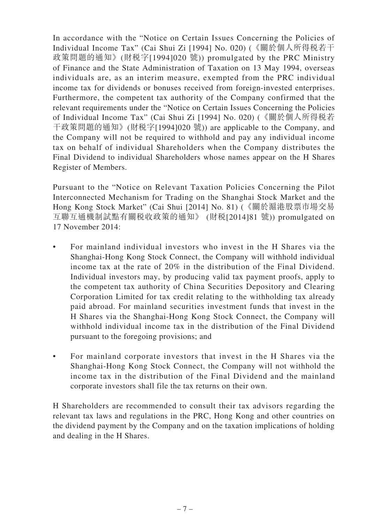In accordance with the "Notice on Certain Issues Concerning the Policies of Individual Income Tax" (Cai Shui Zi [1994] No. 020) (《關於個人所得稅若干 政策問題的通知》(財稅字[1994]020 號)) promulgated by the PRC Ministry of Finance and the State Administration of Taxation on 13 May 1994, overseas individuals are, as an interim measure, exempted from the PRC individual income tax for dividends or bonuses received from foreign-invested enterprises. Furthermore, the competent tax authority of the Company confirmed that the relevant requirements under the "Notice on Certain Issues Concerning the Policies of Individual Income Tax" (Cai Shui Zi [1994] No. 020) (《關於個人所得稅若 干政策問題的通知》(財稅字[1994]020 號)) are applicable to the Company, and the Company will not be required to withhold and pay any individual income tax on behalf of individual Shareholders when the Company distributes the Final Dividend to individual Shareholders whose names appear on the H Shares Register of Members.

Pursuant to the "Notice on Relevant Taxation Policies Concerning the Pilot Interconnected Mechanism for Trading on the Shanghai Stock Market and the Hong Kong Stock Market" (Cai Shui [2014] No. 81) (《關於滬港股票市場交易 互聯互通機制試點有關稅收政策的通知》 (財稅[2014]81 號)) promulgated on 17 November 2014:

- For mainland individual investors who invest in the H Shares via the Shanghai-Hong Kong Stock Connect, the Company will withhold individual income tax at the rate of 20% in the distribution of the Final Dividend. Individual investors may, by producing valid tax payment proofs, apply to the competent tax authority of China Securities Depository and Clearing Corporation Limited for tax credit relating to the withholding tax already paid abroad. For mainland securities investment funds that invest in the H Shares via the Shanghai-Hong Kong Stock Connect, the Company will withhold individual income tax in the distribution of the Final Dividend pursuant to the foregoing provisions; and
- For mainland corporate investors that invest in the H Shares via the Shanghai-Hong Kong Stock Connect, the Company will not withhold the income tax in the distribution of the Final Dividend and the mainland corporate investors shall file the tax returns on their own.

H Shareholders are recommended to consult their tax advisors regarding the relevant tax laws and regulations in the PRC, Hong Kong and other countries on the dividend payment by the Company and on the taxation implications of holding and dealing in the H Shares.